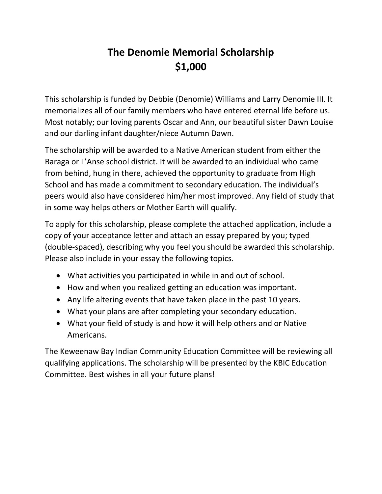## **The Denomie Memorial Scholarship \$1,000**

This scholarship is funded by Debbie (Denomie) Williams and Larry Denomie III. It memorializes all of our family members who have entered eternal life before us. Most notably; our loving parents Oscar and Ann, our beautiful sister Dawn Louise and our darling infant daughter/niece Autumn Dawn.

The scholarship will be awarded to a Native American student from either the Baraga or L'Anse school district. It will be awarded to an individual who came from behind, hung in there, achieved the opportunity to graduate from High School and has made a commitment to secondary education. The individual's peers would also have considered him/her most improved. Any field of study that in some way helps others or Mother Earth will qualify.

To apply for this scholarship, please complete the attached application, include a copy of your acceptance letter and attach an essay prepared by you; typed (double-spaced), describing why you feel you should be awarded this scholarship. Please also include in your essay the following topics.

- What activities you participated in while in and out of school.
- How and when you realized getting an education was important.
- Any life altering events that have taken place in the past 10 years.
- What your plans are after completing your secondary education.
- What your field of study is and how it will help others and or Native Americans.

The Keweenaw Bay Indian Community Education Committee will be reviewing all qualifying applications. The scholarship will be presented by the KBIC Education Committee. Best wishes in all your future plans!